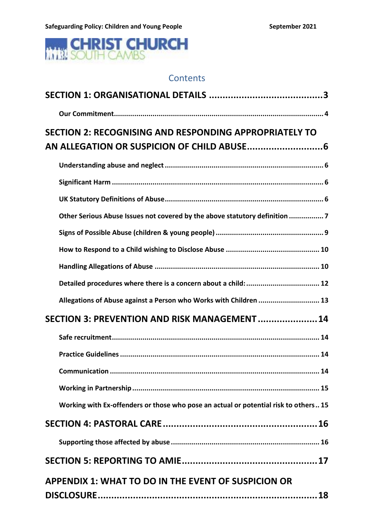

## **Contents**

| SECTION 2: RECOGNISING AND RESPONDING APPROPRIATELY TO                               |
|--------------------------------------------------------------------------------------|
|                                                                                      |
|                                                                                      |
|                                                                                      |
|                                                                                      |
| Other Serious Abuse Issues not covered by the above statutory definition 7           |
|                                                                                      |
|                                                                                      |
|                                                                                      |
|                                                                                      |
| Allegations of Abuse against a Person who Works with Children  13                    |
| SECTION 3: PREVENTION AND RISK MANAGEMENT 14                                         |
|                                                                                      |
|                                                                                      |
|                                                                                      |
|                                                                                      |
| Working with Ex-offenders or those who pose an actual or potential risk to others 15 |
|                                                                                      |
|                                                                                      |
|                                                                                      |
| <b>APPENDIX 1: WHAT TO DO IN THE EVENT OF SUSPICION OR</b>                           |
|                                                                                      |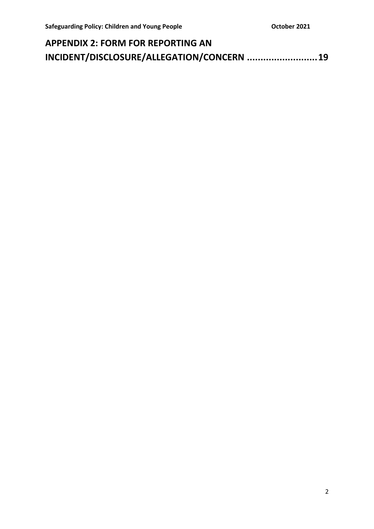# **APPENDIX 2: FORM FOR REPORTING AN INCIDENT/DISCLOSURE/ALLEGATION/CONCERN ..........................19**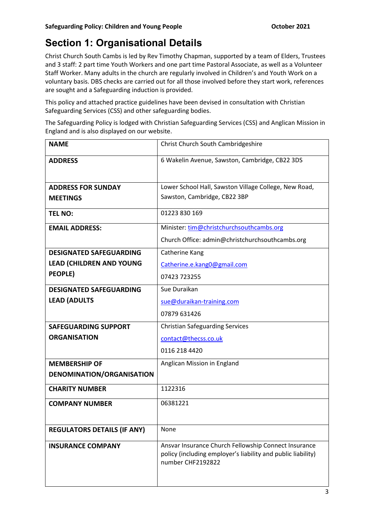# **Section 1: Organisational Details**

Christ Church South Cambs is led by Rev Timothy Chapman, supported by a team of Elders, Trustees and 3 staff: 2 part time Youth Workers and one part time Pastoral Associate, as well as a Volunteer Staff Worker. Many adults in the church are regularly involved in Children's and Youth Work on a voluntary basis. DBS checks are carried out for all those involved before they start work, references are sought and a Safeguarding induction is provided.

This policy and attached practice guidelines have been devised in consultation with Christian Safeguarding Services (CSS) and other safeguarding bodies.

The Safeguarding Policy is lodged with Christian Safeguarding Services (CSS) and Anglican Mission in England and is also displayed on our website.

| <b>NAME</b>                        | Christ Church South Cambridgeshire                                                                                                        |
|------------------------------------|-------------------------------------------------------------------------------------------------------------------------------------------|
| <b>ADDRESS</b>                     | 6 Wakelin Avenue, Sawston, Cambridge, CB22 3DS                                                                                            |
| <b>ADDRESS FOR SUNDAY</b>          | Lower School Hall, Sawston Village College, New Road,                                                                                     |
| <b>MEETINGS</b>                    | Sawston, Cambridge, CB22 3BP                                                                                                              |
| <b>TEL NO:</b>                     | 01223 830 169                                                                                                                             |
| <b>EMAIL ADDRESS:</b>              | Minister: tim@christchurchsouthcambs.org                                                                                                  |
|                                    | Church Office: admin@christchurchsouthcambs.org                                                                                           |
| <b>DESIGNATED SAFEGUARDING</b>     | Catherine Kang                                                                                                                            |
| <b>LEAD (CHILDREN AND YOUNG</b>    | Catherine.e.kang0@gmail.com                                                                                                               |
| PEOPLE)                            | 07423 723255                                                                                                                              |
| <b>DESIGNATED SAFEGUARDING</b>     | Sue Duraikan                                                                                                                              |
| <b>LEAD (ADULTS</b>                | sue@duraikan-training.com                                                                                                                 |
|                                    | 07879 631426                                                                                                                              |
| <b>SAFEGUARDING SUPPORT</b>        | <b>Christian Safeguarding Services</b>                                                                                                    |
| <b>ORGANISATION</b>                | contact@thecss.co.uk                                                                                                                      |
|                                    | 0116 218 4420                                                                                                                             |
| <b>MEMBERSHIP OF</b>               | Anglican Mission in England                                                                                                               |
| DENOMINATION/ORGANISATION          |                                                                                                                                           |
| <b>CHARITY NUMBER</b>              | 1122316                                                                                                                                   |
| <b>COMPANY NUMBER</b>              | 06381221                                                                                                                                  |
| <b>REGULATORS DETAILS (IF ANY)</b> | <b>None</b>                                                                                                                               |
| <b>INSURANCE COMPANY</b>           | Ansvar Insurance Church Fellowship Connect Insurance<br>policy (including employer's liability and public liability)<br>number CHF2192822 |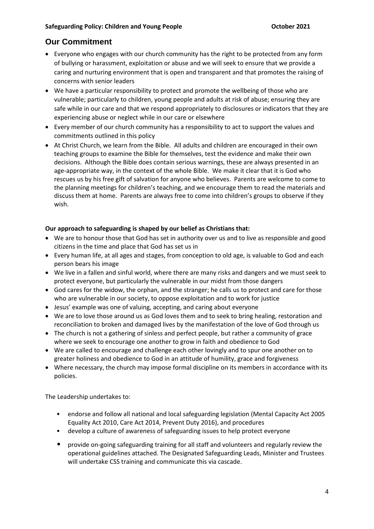### **Our Commitment**

- Everyone who engages with our church community has the right to be protected from any form of bullying or harassment, exploitation or abuse and we will seek to ensure that we provide a caring and nurturing environment that is open and transparent and that promotes the raising of concerns with senior leaders
- We have a particular responsibility to protect and promote the wellbeing of those who are vulnerable; particularly to children, young people and adults at risk of abuse; ensuring they are safe while in our care and that we respond appropriately to disclosures or indicators that they are experiencing abuse or neglect while in our care or elsewhere
- Every member of our church community has a responsibility to act to support the values and commitments outlined in this policy
- At Christ Church, we learn from the Bible. All adults and children are encouraged in their own teaching groups to examine the Bible for themselves, test the evidence and make their own decisions. Although the Bible does contain serious warnings, these are always presented in an age-appropriate way, in the context of the whole Bible. We make it clear that it is God who rescues us by his free gift of salvation for anyone who believes. Parents are welcome to come to the planning meetings for children's teaching, and we encourage them to read the materials and discuss them at home. Parents are always free to come into children's groups to observe if they wish.

#### **Our approach to safeguarding is shaped by our belief as Christians that:**

- We are to honour those that God has set in authority over us and to live as responsible and good citizens in the time and place that God has set us in
- Every human life, at all ages and stages, from conception to old age, is valuable to God and each person bears his image
- We live in a fallen and sinful world, where there are many risks and dangers and we must seek to protect everyone, but particularly the vulnerable in our midst from those dangers
- God cares for the widow, the orphan, and the stranger; he calls us to protect and care for those who are vulnerable in our society, to oppose exploitation and to work for justice
- Jesus' example was one of valuing, accepting, and caring about everyone
- We are to love those around us as God loves them and to seek to bring healing, restoration and reconciliation to broken and damaged lives by the manifestation of the love of God through us
- The church is not a gathering of sinless and perfect people, but rather a community of grace where we seek to encourage one another to grow in faith and obedience to God
- We are called to encourage and challenge each other lovingly and to spur one another on to greater holiness and obedience to God in an attitude of humility, grace and forgiveness
- Where necessary, the church may impose formal discipline on its members in accordance with its policies.

The Leadership undertakes to:

- endorse and follow all national and local safeguarding legislation (Mental Capacity Act 2005 Equality Act 2010, Care Act 2014, Prevent Duty 2016), and procedures
- develop a culture of awareness of safeguarding issues to help protect everyone
- provide on-going safeguarding training for all staff and volunteers and regularly review the operational guidelines attached. The Designated Safeguarding Leads, Minister and Trustees will undertake CSS training and communicate this via cascade.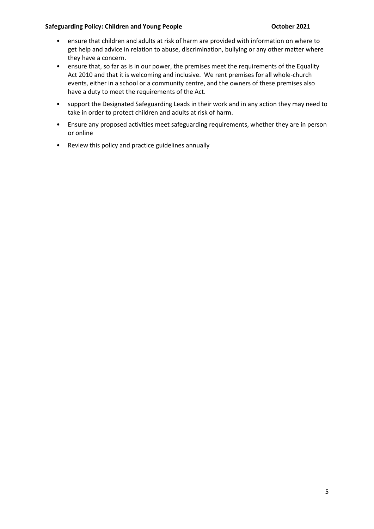#### **Safeguarding Policy: Children and Young People <b>Constant Constant Constant Constant Constant Constant Constant Constant Constant Constant Constant Constant Constant Constant Constant Constant Constant Constant Constant Co**

- ensure that children and adults at risk of harm are provided with information on where to get help and advice in relation to abuse, discrimination, bullying or any other matter where they have a concern.
- ensure that, so far as is in our power, the premises meet the requirements of the Equality Act 2010 and that it is welcoming and inclusive. We rent premises for all whole-church events, either in a school or a community centre, and the owners of these premises also have a duty to meet the requirements of the Act.
- support the Designated Safeguarding Leads in their work and in any action they may need to take in order to protect children and adults at risk of harm.
- Ensure any proposed activities meet safeguarding requirements, whether they are in person or online
- Review this policy and practice guidelines annually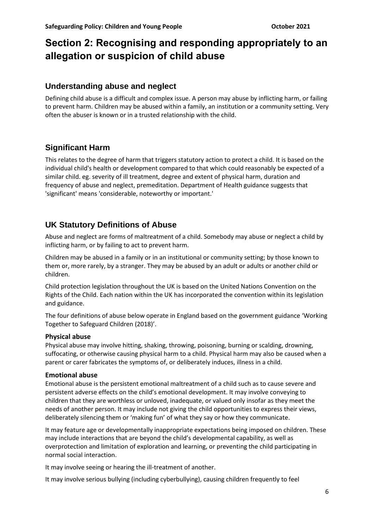## **Section 2: Recognising and responding appropriately to an allegation or suspicion of child abuse**

### **Understanding abuse and neglect**

Defining child abuse is a difficult and complex issue. A person may abuse by inflicting harm, or failing to prevent harm. Children may be abused within a family, an institution or a community setting. Very often the abuser is known or in a trusted relationship with the child.

## **Significant Harm**

This relates to the degree of harm that triggers statutory action to protect a child. It is based on the individual child's health or development compared to that which could reasonably be expected of a similar child. eg. severity of ill treatment, degree and extent of physical harm, duration and frequency of abuse and neglect, premeditation. Department of Health guidance suggests that 'significant' means 'considerable, noteworthy or important.'

## **UK Statutory Definitions of Abuse**

Abuse and neglect are forms of maltreatment of a child. Somebody may abuse or neglect a child by inflicting harm, or by failing to act to prevent harm.

Children may be abused in a family or in an institutional or community setting; by those known to them or, more rarely, by a stranger. They may be abused by an adult or adults or another child or children.

Child protection legislation throughout the UK is based on the United Nations Convention on the Rights of the Child. Each nation within the UK has incorporated the convention within its legislation and guidance.

The four definitions of abuse below operate in England based on the government guidance 'Working Together to Safeguard Children (2018)'.

#### **Physical abuse**

Physical abuse may involve hitting, shaking, throwing, poisoning, burning or scalding, drowning, suffocating, or otherwise causing physical harm to a child. Physical harm may also be caused when a parent or carer fabricates the symptoms of, or deliberately induces, illness in a child.

#### **Emotional abuse**

Emotional abuse is the persistent emotional maltreatment of a child such as to cause severe and persistent adverse effects on the child's emotional development. It may involve conveying to children that they are worthless or unloved, inadequate, or valued only insofar as they meet the needs of another person. It may include not giving the child opportunities to express their views, deliberately silencing them or 'making fun' of what they say or how they communicate.

It may feature age or developmentally inappropriate expectations being imposed on children. These may include interactions that are beyond the child's developmental capability, as well as overprotection and limitation of exploration and learning, or preventing the child participating in normal social interaction.

It may involve seeing or hearing the ill-treatment of another.

It may involve serious bullying (including cyberbullying), causing children frequently to feel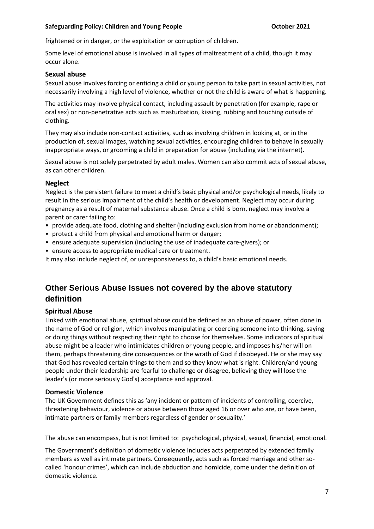#### **Safeguarding Policy: Children and Young People <b>Constant Constant Constant Constant Constant Constant Constant Constant Constant Constant Constant Constant Constant Constant Constant Constant Constant Constant Constant Co**

frightened or in danger, or the exploitation or corruption of children.

Some level of emotional abuse is involved in all types of maltreatment of a child, though it may occur alone.

#### **Sexual abuse**

Sexual abuse involves forcing or enticing a child or young person to take part in sexual activities, not necessarily involving a high level of violence, whether or not the child is aware of what is happening.

The activities may involve physical contact, including assault by penetration (for example, rape or oral sex) or non-penetrative acts such as masturbation, kissing, rubbing and touching outside of clothing.

They may also include non-contact activities, such as involving children in looking at, or in the production of, sexual images, watching sexual activities, encouraging children to behave in sexually inappropriate ways, or grooming a child in preparation for abuse (including via the internet).

Sexual abuse is not solely perpetrated by adult males. Women can also commit acts of sexual abuse, as can other children.

#### **Neglect**

Neglect is the persistent failure to meet a child's basic physical and/or psychological needs, likely to result in the serious impairment of the child's health or development. Neglect may occur during pregnancy as a result of maternal substance abuse. Once a child is born, neglect may involve a parent or carer failing to:

- provide adequate food, clothing and shelter (including exclusion from home or abandonment);
- protect a child from physical and emotional harm or danger;
- ensure adequate supervision (including the use of inadequate care-givers); or
- ensure access to appropriate medical care or treatment.

It may also include neglect of, or unresponsiveness to, a child's basic emotional needs.

## **Other Serious Abuse Issues not covered by the above statutory definition**

#### **Spiritual Abuse**

Linked with emotional abuse, spiritual abuse could be defined as an abuse of power, often done in the name of God or religion, which involves manipulating or coercing someone into thinking, saying or doing things without respecting their right to choose for themselves. Some indicators of spiritual abuse might be a leader who intimidates children or young people, and imposes his/her will on them, perhaps threatening dire consequences or the wrath of God if disobeyed. He or she may say that God has revealed certain things to them and so they know what is right. Children/and young people under their leadership are fearful to challenge or disagree, believing they will lose the leader's (or more seriously God's) acceptance and approval.

#### **Domestic Violence**

The UK Government defines this as 'any incident or pattern of incidents of controlling, coercive, threatening behaviour, violence or abuse between those aged 16 or over who are, or have been, intimate partners or family members regardless of gender or sexuality.'

The abuse can encompass, but is not limited to: psychological, physical, sexual, financial, emotional.

The Government's definition of domestic violence includes acts perpetrated by extended family members as well as intimate partners. Consequently, acts such as forced marriage and other socalled 'honour crimes', which can include abduction and homicide, come under the definition of domestic violence.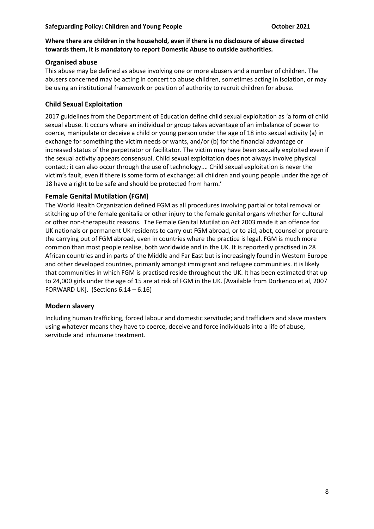#### **Where there are children in the household, even if there is no disclosure of abuse directed towards them, it is mandatory to report Domestic Abuse to outside authorities.**

#### **Organised abuse**

This abuse may be defined as abuse involving one or more abusers and a number of children. The abusers concerned may be acting in concert to abuse children, sometimes acting in isolation, or may be using an institutional framework or position of authority to recruit children for abuse.

#### **Child Sexual Exploitation**

2017 guidelines from the Department of Education define child sexual exploitation as 'a form of child sexual abuse. It occurs where an individual or group takes advantage of an imbalance of power to coerce, manipulate or deceive a child or young person under the age of 18 into sexual activity (a) in exchange for something the victim needs or wants, and/or (b) for the financial advantage or increased status of the perpetrator or facilitator. The victim may have been sexually exploited even if the sexual activity appears consensual. Child sexual exploitation does not always involve physical contact; it can also occur through the use of technology.… Child sexual exploitation is never the victim's fault, even if there is some form of exchange: all children and young people under the age of 18 have a right to be safe and should be protected from harm.'

#### **Female Genital Mutilation (FGM)**

The World Health Organization defined FGM as all procedures involving partial or total removal or stitching up of the female genitalia or other injury to the female genital organs whether for cultural or other non-therapeutic reasons. The Female Genital Mutilation Act 2003 made it an offence for UK nationals or permanent UK residents to carry out FGM abroad, or to aid, abet, counsel or procure the carrying out of FGM abroad, even in countries where the practice is legal. FGM is much more common than most people realise, both worldwide and in the UK. It is reportedly practised in 28 African countries and in parts of the Middle and Far East but is increasingly found in Western Europe and other developed countries, primarily amongst immigrant and refugee communities. it is likely that communities in which FGM is practised reside throughout the UK. It has been estimated that up to 24,000 girls under the age of 15 are at risk of FGM in the UK. [Available from Dorkenoo et al, 2007 FORWARD UK]. (Sections 6.14 – 6.16)

#### **Modern slavery**

Including human trafficking, forced labour and domestic servitude; and traffickers and slave masters using whatever means they have to coerce, deceive and force individuals into a life of abuse, servitude and inhumane treatment.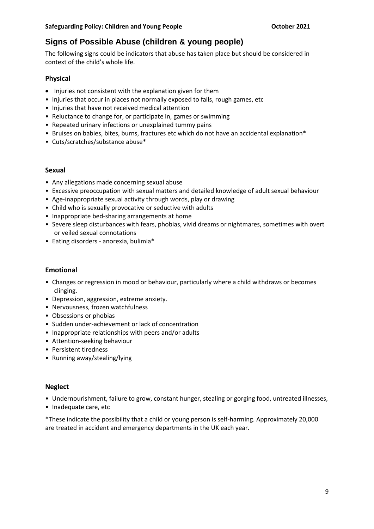## **Signs of Possible Abuse (children & young people)**

The following signs could be indicators that abuse has taken place but should be considered in context of the child's whole life.

#### **Physical**

- Injuries not consistent with the explanation given for them
- Injuries that occur in places not normally exposed to falls, rough games, etc
- Injuries that have not received medical attention
- Reluctance to change for, or participate in, games or swimming
- Repeated urinary infections or unexplained tummy pains
- Bruises on babies, bites, burns, fractures etc which do not have an accidental explanation\*
- Cuts/scratches/substance abuse\*

#### **Sexual**

- Any allegations made concerning sexual abuse
- Excessive preoccupation with sexual matters and detailed knowledge of adult sexual behaviour
- Age-inappropriate sexual activity through words, play or drawing
- Child who is sexually provocative or seductive with adults
- Inappropriate bed-sharing arrangements at home
- Severe sleep disturbances with fears, phobias, vivid dreams or nightmares, sometimes with overt or veiled sexual connotations
- Eating disorders anorexia, bulimia\*

#### **Emotional**

- Changes or regression in mood or behaviour, particularly where a child withdraws or becomes clinging.
- Depression, aggression, extreme anxiety.
- Nervousness, frozen watchfulness
- Obsessions or phobias
- Sudden under-achievement or lack of concentration
- Inappropriate relationships with peers and/or adults
- Attention-seeking behaviour
- Persistent tiredness
- Running away/stealing/lying

#### **Neglect**

- Undernourishment, failure to grow, constant hunger, stealing or gorging food, untreated illnesses,
- Inadequate care, etc

\*These indicate the possibility that a child or young person is self-harming. Approximately 20,000 are treated in accident and emergency departments in the UK each year.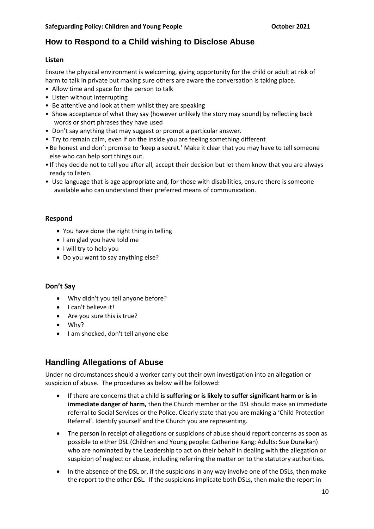## **How to Respond to a Child wishing to Disclose Abuse**

#### **Listen**

Ensure the physical environment is welcoming, giving opportunity for the child or adult at risk of harm to talk in private but making sure others are aware the conversation is taking place.

- Allow time and space for the person to talk
- Listen without interrupting
- Be attentive and look at them whilst they are speaking
- Show acceptance of what they say (however unlikely the story may sound) by reflecting back words or short phrases they have used
- Don't say anything that may suggest or prompt a particular answer.
- Try to remain calm, even if on the inside you are feeling something different
- Be honest and don't promise to 'keep a secret.' Make it clear that you may have to tell someone else who can help sort things out.
- If they decide not to tell you after all, accept their decision but let them know that you are always ready to listen.
- Use language that is age appropriate and, for those with disabilities, ensure there is someone available who can understand their preferred means of communication.

#### **Respond**

- You have done the right thing in telling
- I am glad you have told me
- I will try to help you
- Do you want to say anything else?

#### **Don't Say**

- Why didn't you tell anyone before?
- I can't believe it!
- Are you sure this is true?
- Why?
- I am shocked, don't tell anyone else

### **Handling Allegations of Abuse**

Under no circumstances should a worker carry out their own investigation into an allegation or suspicion of abuse. The procedures as below will be followed:

- If there are concerns that a child **is suffering or is likely to suffer significant harm or is in immediate danger of harm,** then the Church member or the DSL should make an immediate referral to Social Services or the Police. Clearly state that you are making a 'Child Protection Referral'. Identify yourself and the Church you are representing.
- The person in receipt of allegations or suspicions of abuse should report concerns as soon as possible to either DSL (Children and Young people: Catherine Kang; Adults: Sue Duraikan) who are nominated by the Leadership to act on their behalf in dealing with the allegation or suspicion of neglect or abuse, including referring the matter on to the statutory authorities.
- In the absence of the DSL or, if the suspicions in any way involve one of the DSLs, then make the report to the other DSL. If the suspicions implicate both DSLs, then make the report in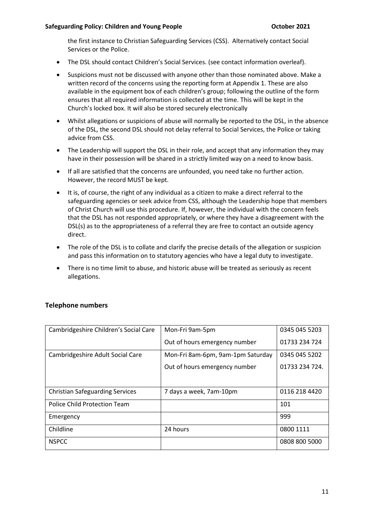the first instance to Christian Safeguarding Services (CSS). Alternatively contact Social Services or the Police.

- The DSL should contact Children's Social Services. (see contact information overleaf).
- Suspicions must not be discussed with anyone other than those nominated above. Make a written record of the concerns using the reporting form at Appendix 1. These are also available in the equipment box of each children's group; following the outline of the form ensures that all required information is collected at the time. This will be kept in the Church's locked box. It will also be stored securely electronically
- Whilst allegations or suspicions of abuse will normally be reported to the DSL, in the absence of the DSL, the second DSL should not delay referral to Social Services, the Police or taking advice from CSS.
- The Leadership will support the DSL in their role, and accept that any information they may have in their possession will be shared in a strictly limited way on a need to know basis.
- If all are satisfied that the concerns are unfounded, you need take no further action. However, the record MUST be kept.
- It is, of course, the right of any individual as a citizen to make a direct referral to the safeguarding agencies or seek advice from CSS, although the Leadership hope that members of Christ Church will use this procedure. If, however, the individual with the concern feels that the DSL has not responded appropriately, or where they have a disagreement with the DSL(s) as to the appropriateness of a referral they are free to contact an outside agency direct.
- The role of the DSL is to collate and clarify the precise details of the allegation or suspicion and pass this information on to statutory agencies who have a legal duty to investigate.
- There is no time limit to abuse, and historic abuse will be treated as seriously as recent allegations.

| Cambridgeshire Children's Social Care  | Mon-Fri 9am-5pm                   | 0345 045 5203  |
|----------------------------------------|-----------------------------------|----------------|
|                                        | Out of hours emergency number     | 01733 234 724  |
| Cambridgeshire Adult Social Care       | Mon-Fri 8am-6pm, 9am-1pm Saturday | 0345 045 5202  |
|                                        | Out of hours emergency number     | 01733 234 724. |
|                                        |                                   |                |
| <b>Christian Safeguarding Services</b> | 7 days a week, 7am-10pm           | 0116 218 4420  |
| <b>Police Child Protection Team</b>    |                                   | 101            |
| Emergency                              |                                   | 999            |
| Childline                              | 24 hours                          | 0800 1111      |
| <b>NSPCC</b>                           |                                   | 0808 800 5000  |

#### **Telephone numbers**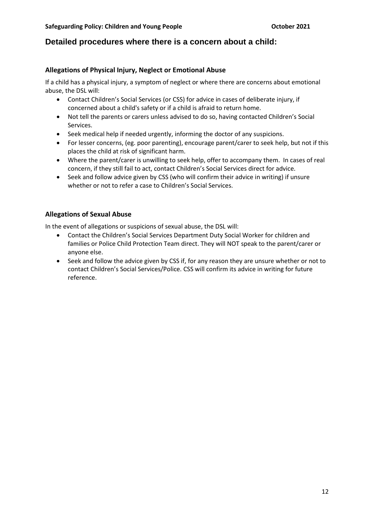### **Detailed procedures where there is a concern about a child:**

#### **Allegations of Physical Injury, Neglect or Emotional Abuse**

If a child has a physical injury, a symptom of neglect or where there are concerns about emotional abuse, the DSL will:

- Contact Children's Social Services (or CSS) for advice in cases of deliberate injury, if concerned about a child's safety or if a child is afraid to return home.
- Not tell the parents or carers unless advised to do so, having contacted Children's Social Services.
- Seek medical help if needed urgently, informing the doctor of any suspicions.
- For lesser concerns, (eg. poor parenting), encourage parent/carer to seek help, but not if this places the child at risk of significant harm.
- Where the parent/carer is unwilling to seek help, offer to accompany them. In cases of real concern, if they still fail to act, contact Children's Social Services direct for advice.
- Seek and follow advice given by CSS (who will confirm their advice in writing) if unsure whether or not to refer a case to Children's Social Services.

#### **Allegations of Sexual Abuse**

In the event of allegations or suspicions of sexual abuse, the DSL will:

- Contact the Children's Social Services Department Duty Social Worker for children and families or Police Child Protection Team direct. They will NOT speak to the parent/carer or anyone else.
- Seek and follow the advice given by CSS if, for any reason they are unsure whether or not to contact Children's Social Services/Police. CSS will confirm its advice in writing for future reference.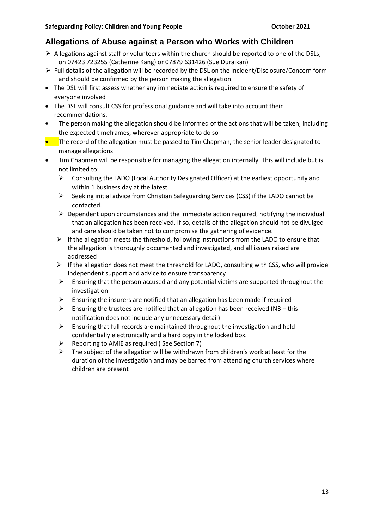## **Allegations of Abuse against a Person who Works with Children**

- $\triangleright$  Allegations against staff or volunteers within the church should be reported to one of the DSLs, on 07423 723255 (Catherine Kang) or 07879 631426 (Sue Duraikan)
- ➢ Full details of the allegation will be recorded by the DSL on the Incident/Disclosure/Concern form and should be confirmed by the person making the allegation.
- The DSL will first assess whether any immediate action is required to ensure the safety of everyone involved
- The DSL will consult CSS for professional guidance and will take into account their recommendations.
- The person making the allegation should be informed of the actions that will be taken, including the expected timeframes, wherever appropriate to do so
- **•** The record of the allegation must be passed to Tim Chapman, the senior leader designated to manage allegations
- Tim Chapman will be responsible for managing the allegation internally. This will include but is not limited to:
	- $\triangleright$  Consulting the LADO (Local Authority Designated Officer) at the earliest opportunity and within 1 business day at the latest.
	- ➢ Seeking initial advice from Christian Safeguarding Services (CSS) if the LADO cannot be contacted.
	- $\triangleright$  Dependent upon circumstances and the immediate action required, notifying the individual that an allegation has been received. If so, details of the allegation should not be divulged and care should be taken not to compromise the gathering of evidence.
	- $\triangleright$  If the allegation meets the threshold, following instructions from the LADO to ensure that the allegation is thoroughly documented and investigated, and all issues raised are addressed
	- ➢ If the allegation does not meet the threshold for LADO, consulting with CSS, who will provide independent support and advice to ensure transparency
	- $\triangleright$  Ensuring that the person accused and any potential victims are supported throughout the investigation
	- $\triangleright$  Ensuring the insurers are notified that an allegation has been made if required
	- $\triangleright$  Ensuring the trustees are notified that an allegation has been received (NB this notification does not include any unnecessary detail)
	- $\triangleright$  Ensuring that full records are maintained throughout the investigation and held confidentially electronically and a hard copy in the locked box.
	- ➢ Reporting to AMiE as required ( See Section 7)
	- The subject of the allegation will be withdrawn from children's work at least for the duration of the investigation and may be barred from attending church services where children are present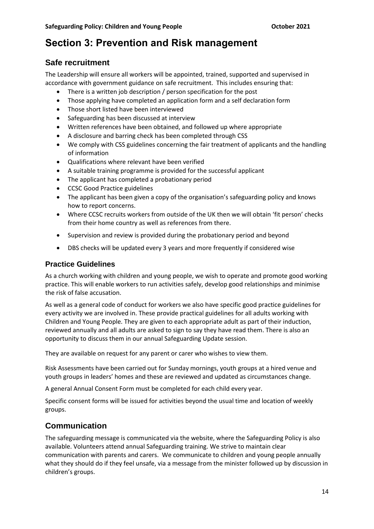## **Section 3: Prevention and Risk management**

## **Safe recruitment**

The Leadership will ensure all workers will be appointed, trained, supported and supervised in accordance with government guidance on safe recruitment. This includes ensuring that:

- There is a written job description / person specification for the post
- Those applying have completed an application form and a self declaration form
- Those short listed have been interviewed
- Safeguarding has been discussed at interview
- Written references have been obtained, and followed up where appropriate
- A disclosure and barring check has been completed through CSS
- We comply with CSS guidelines concerning the fair treatment of applicants and the handling of information
- Qualifications where relevant have been verified
- A suitable training programme is provided for the successful applicant
- The applicant has completed a probationary period
- CCSC Good Practice guidelines
- The applicant has been given a copy of the organisation's safeguarding policy and knows how to report concerns.
- Where CCSC recruits workers from outside of the UK then we will obtain 'fit person' checks from their home country as well as references from there.
- Supervision and review is provided during the probationary period and beyond
- DBS checks will be updated every 3 years and more frequently if considered wise

#### **Practice Guidelines**

As a church working with children and young people, we wish to operate and promote good working practice. This will enable workers to run activities safely, develop good relationships and minimise the risk of false accusation.

As well as a general code of conduct for workers we also have specific good practice guidelines for every activity we are involved in. These provide practical guidelines for all adults working with Children and Young People. They are given to each appropriate adult as part of their induction, reviewed annually and all adults are asked to sign to say they have read them. There is also an opportunity to discuss them in our annual Safeguarding Update session.

They are available on request for any parent or carer who wishes to view them.

Risk Assessments have been carried out for Sunday mornings, youth groups at a hired venue and youth groups in leaders' homes and these are reviewed and updated as circumstances change.

A general Annual Consent Form must be completed for each child every year.

Specific consent forms will be issued for activities beyond the usual time and location of weekly groups.

## **Communication**

The safeguarding message is communicated via the website, where the Safeguarding Policy is also available. Volunteers attend annual Safeguarding training. We strive to maintain clear communication with parents and carers. We communicate to children and young people annually what they should do if they feel unsafe, via a message from the minister followed up by discussion in children's groups.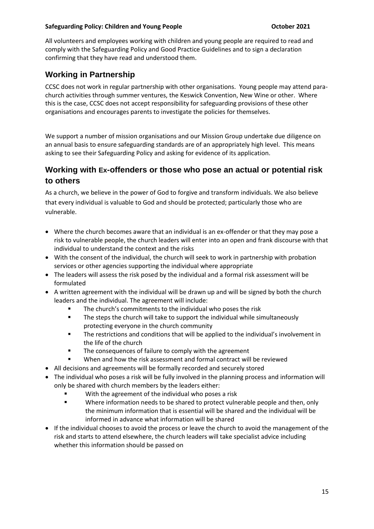#### **Safeguarding Policy: Children and Young People <b>Constant Constant Constant Constant Constant Constant Constant Constant Constant Constant Constant Constant Constant Constant Constant Constant Constant Constant Constant Co**

All volunteers and employees working with children and young people are required to read and comply with the Safeguarding Policy and Good Practice Guidelines and to sign a declaration confirming that they have read and understood them.

## **Working in Partnership**

CCSC does not work in regular partnership with other organisations. Young people may attend parachurch activities through summer ventures, the Keswick Convention, New Wine or other. Where this is the case, CCSC does not accept responsibility for safeguarding provisions of these other organisations and encourages parents to investigate the policies for themselves.

We support a number of mission organisations and our Mission Group undertake due diligence on an annual basis to ensure safeguarding standards are of an appropriately high level. This means asking to see their Safeguarding Policy and asking for evidence of its application.

## **Working with Ex-offenders or those who pose an actual or potential risk to others**

As a church, we believe in the power of God to forgive and transform individuals. We also believe that every individual is valuable to God and should be protected; particularly those who are vulnerable.

- Where the church becomes aware that an individual is an ex-offender or that they may pose a risk to vulnerable people, the church leaders will enter into an open and frank discourse with that individual to understand the context and the risks
- With the consent of the individual, the church will seek to work in partnership with probation services or other agencies supporting the individual where appropriate
- The leaders will assess the risk posed by the individual and a formal risk assessment will be formulated
- A written agreement with the individual will be drawn up and will be signed by both the church leaders and the individual. The agreement will include:
	- The church's commitments to the individual who poses the risk
	- The steps the church will take to support the individual while simultaneously protecting everyone in the church community
	- The restrictions and conditions that will be applied to the individual's involvement in the life of the church
	- The consequences of failure to comply with the agreement
	- When and how the risk assessment and formal contract will be reviewed
- All decisions and agreements will be formally recorded and securely stored
- The individual who poses a risk will be fully involved in the planning process and information will only be shared with church members by the leaders either:
	- With the agreement of the individual who poses a risk
	- Where information needs to be shared to protect vulnerable people and then, only the minimum information that is essential will be shared and the individual will be informed in advance what information will be shared
- If the individual chooses to avoid the process or leave the church to avoid the management of the risk and starts to attend elsewhere, the church leaders will take specialist advice including whether this information should be passed on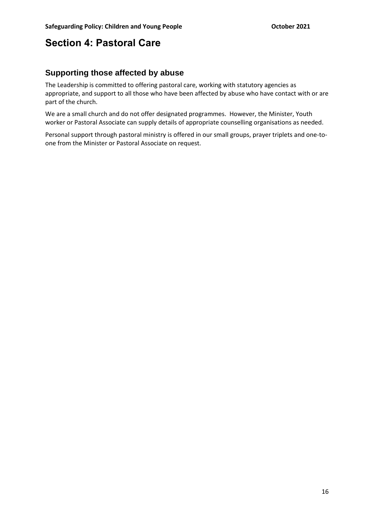## **Section 4: Pastoral Care**

## **Supporting those affected by abuse**

The Leadership is committed to offering pastoral care, working with statutory agencies as appropriate, and support to all those who have been affected by abuse who have contact with or are part of the church.

We are a small church and do not offer designated programmes. However, the Minister, Youth worker or Pastoral Associate can supply details of appropriate counselling organisations as needed.

Personal support through pastoral ministry is offered in our small groups, prayer triplets and one-toone from the Minister or Pastoral Associate on request.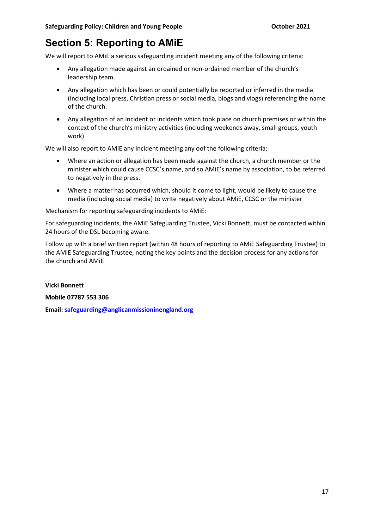## **Section 5: Reporting to AMiE**

We will report to AMiE a serious safeguarding incident meeting any of the following criteria:

- Any allegation made against an ordained or non-ordained member of the church's leadership team.
- Any allegation which has been or could potentially be reported or inferred in the media (including local press, Christian press or social media, blogs and vlogs) referencing the name of the church.
- Any allegation of an incident or incidents which took place on church premises or within the context of the church's ministry activities (including weekends away, small groups, youth work)

We will also report to AMiE any incident meeting any oof the following criteria:

- Where an action or allegation has been made against the church, a church member or the minister which could cause CCSC's name, and so AMiE's name by association, to be referred to negatively in the press.
- Where a matter has occurred which, should it come to light, would be likely to cause the media (including social media) to write negatively about AMiE, CCSC or the minister

Mechanism for reporting safeguarding incidents to AMiE:

For safeguarding incidents, the AMiE Safeguarding Trustee, Vicki Bonnett, must be contacted within 24 hours of the DSL becoming aware.

Follow up with a brief written report (within 48 hours of reporting to AMiE Safeguarding Trustee) to the AMiE Safeguarding Trustee, noting the key points and the decision process for any actions for the church and AMiE

**Vicki Bonnett**

**Mobile 07787 553 306**

**Email[: safeguarding@anglicanmissioninengland.org](mailto:safeguarding@anglicanmissioninengland.org)**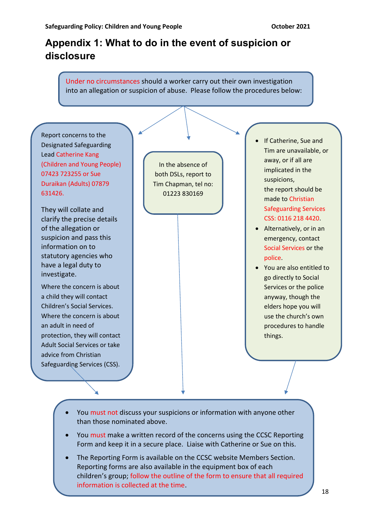# **Appendix 1: What to do in the event of suspicion or disclosure**

Under no circumstances should a worker carry out their own investigation into an allegation or suspicion of abuse. Please follow the procedures below:



- You must not discuss your suspicions or information with anyone other than those nominated above.
- You must make a written record of the concerns using the CCSC Reporting Form and keep it in a secure place. Liaise with Catherine or Sue on this.
- The Reporting Form is available on the CCSC website Members Section. Reporting forms are also available in the equipment box of each children's group; follow the outline of the form to ensure that all required information is collected at the time.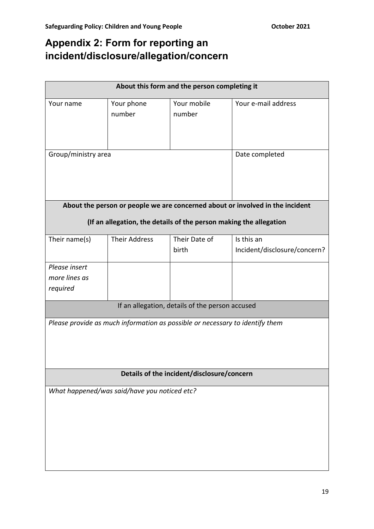# **Appendix 2: Form for reporting an incident/disclosure/allegation/concern**

| About this form and the person completing it                                                                                                        |                                              |                                                 |                                            |  |  |
|-----------------------------------------------------------------------------------------------------------------------------------------------------|----------------------------------------------|-------------------------------------------------|--------------------------------------------|--|--|
| Your name                                                                                                                                           | Your phone<br>number                         | Your mobile<br>number                           | Your e-mail address                        |  |  |
| Group/ministry area                                                                                                                                 |                                              |                                                 | Date completed                             |  |  |
| About the person or people we are concerned about or involved in the incident<br>(If an allegation, the details of the person making the allegation |                                              |                                                 |                                            |  |  |
| Their name(s)                                                                                                                                       | <b>Their Address</b>                         | Their Date of<br>birth                          | Is this an<br>Incident/disclosure/concern? |  |  |
| Please insert<br>more lines as<br>required                                                                                                          |                                              |                                                 |                                            |  |  |
|                                                                                                                                                     |                                              | If an allegation, details of the person accused |                                            |  |  |
| Please provide as much information as possible or necessary to identify them                                                                        |                                              |                                                 |                                            |  |  |
| Details of the incident/disclosure/concern                                                                                                          |                                              |                                                 |                                            |  |  |
|                                                                                                                                                     | What happened/was said/have you noticed etc? |                                                 |                                            |  |  |